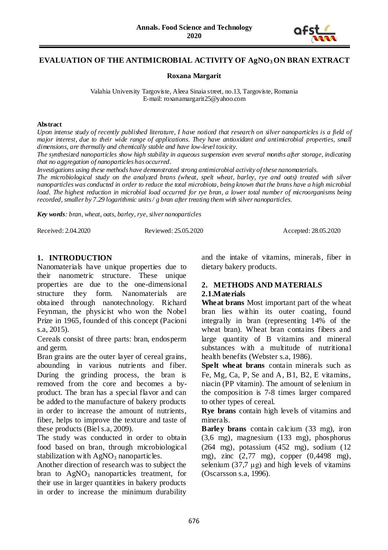

# **EVALUATION OF THE ANTIMICROBIAL ACTIVITY OF AgNO3ON BRAN EXTRACT**

**Roxana Margarit** 

Valahia University Targoviste, Aleea Sinaia street, no.13, Targoviste, Romania E-mail: roxanamargarit25@yahoo.com

#### **Abstract**

*Upon intense study of recently published literature, I have noticed that research on silver nanoparticles is a field of major interest, due to their wide range of applications. They have antioxidant and antimicrobial properties, small dimensions, are thermally and chemically stable and have low-level toxicity.*

*The synthesized nanoparticles show high stability in aqueous suspension even several months after storage, indicating that no aggregation of nanoparticles has occurred.*

*Investigations using these methods have demonstrated strong antimicrobial activity of these nanomaterials.*

*The microbiological study on the analyzed brans (wheat, spelt wheat, barley, rye and oats) treated with silver nanoparticles was conducted in order to reduce the total microbiota, being known that the brans have a high microbial load. The highest reduction in microbial load occurred for rye bran, a lower total number of microorganisms being recorded, smaller by 7.29 logarithmic units / g bran after treating them with silver nanoparticles.*

*Key words: bran, wheat, oats, barley, rye, silver nanoparticles*

Received: 2.04.2020 Reviewed: 25.05.2020 Accepted: 28.05.2020

# **1. INTRODUCTION**

Nanomaterials have unique properties due to their nanometric structure. These unique properties are due to the one-dimensional structure they form. Nanomaterials are obtained through nanotechnology. Richard Feynman, the physicist who won the Nobel Prize in 1965, founded of this concept (Pacioni s.a, 2015).

Cereals consist of three parts: bran, endosperm and germ.

Bran grains are the outer layer of cereal grains, abounding in various nutrients and fiber. During the grinding process, the bran is removed from the core and becomes a byproduct. The bran has a special flavor and can be added to the manufacture of bakery products in order to increase the amount of nutrients. fiber, helps to improve the texture and taste of these products (Biel s.a, 2009).

The study was conducted in order to obtain food based on bran, through microbiological stabilization with  $AgNO_3$  nanoparticles.

Another direction of research was to subject the bran to  $AgNO<sub>3</sub>$  nanoparticles treatment, for their use in larger quantities in bakery products in order to increase the minimum durability

and the intake of vitamins, minerals, fiber in dietary bakery products.

#### **2. METHODS AND MATERIALS 2.1.Materials**

**Wheat brans** Most important part of the wheat bran lies within its outer coating, found integrally in bran (representing 14% of the wheat bran). Wheat bran contains fibers and large quantity of B vitamins and mineral substances with a multitude of nutritional health benefits (Webster s.a, 1986).

**Spelt wheat brans** contain minerals such as Fe, Mg, Ca, P, Se and A, B1, B2, E vitamins, niacin (PP vitamin). The amount of selenium in the composition is 7-8 times larger compared to other types of cereal.

**Rye brans** contain high levels of vitamins and minerals.

**Barley brans** contain calcium (33 mg), iron (3,6 mg), magnesium (133 mg), phosphorus (264 mg), potassium (452 mg), sodium (12 mg), zinc (2,77 mg), copper (0,4498 mg), selenium  $(37,7 \mu g)$  and high levels of vitamins (Oscarsson s.a, 1996).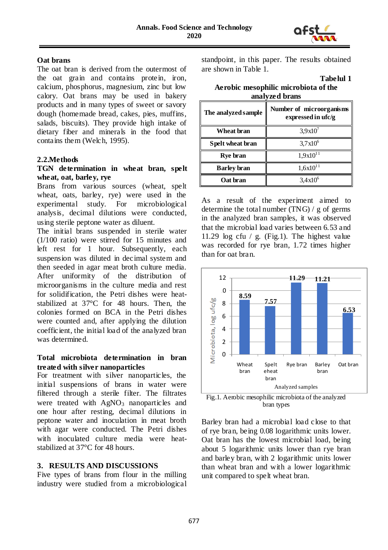

## **Oat brans**

The oat bran is derived from the outermost of the oat grain and contains protein, iron, calcium, phosphorus, magnesium, zinc but low calory. Oat brans may be used in bakery products and in many types of sweet or savory dough (homemade bread, cakes, pies, muffins, salads, biscuits). They provide high intake of dietary fiber and minerals in the food that contains them (Welch, 1995).

#### **2.2.Methods**

### **TGN determination in wheat bran, spelt wheat, oat, barley, rye**

Brans from various sources (wheat, spelt wheat, oats, barley, rye) were used in the experimental study. For microbiological analysis, decimal dilutions were conducted, using sterile peptone water as diluent.

The initial brans suspended in sterile water (1/100 ratio) were stirred for 15 minutes and left rest for 1 hour. Subsequently, each suspension was diluted in decimal system and then seeded in agar meat broth culture media. After uniformity of the distribution of microorganisms in the culture media and rest for solidification, the Petri dishes were heatstabilized at 37°C for 48 hours. Then, the colonies formed on BCA in the Petri dishes were counted and, after applying the dilution coefficient, the initial load of the analyzed bran was determined.

# **Total microbiota determination in bran treated with silver nanoparticles**

For treatment with silver nanoparticles, the initial suspensions of brans in water were filtered through a sterile filter. The filtrates were treated with  $AgNO_3$  nanoparticles and one hour after resting, decimal dilutions in peptone water and inoculation in meat broth with agar were conducted. The Petri dishes with inoculated culture media were heatstabilized at 37°C for 48 hours.

#### **3. RESULTS AND DISCUSSIONS**

Five types of brans from flour in the milling industry were studied from a microbiological standpoint, in this paper. The results obtained are shown in Table 1.

**Tabelul 1**

| Aerobic mesophilic microbiota of the |
|--------------------------------------|
| analyzed brans                       |

| The analyzed sample | Number of microorganisms<br>expressed in ufc/g |
|---------------------|------------------------------------------------|
| Wheat bran          | $3,9x10^7$                                     |
| Spelt wheat bran    | $3,7x10^6$                                     |
| Rye bran            | $1,9x10^{11}$                                  |
| <b>Barley</b> bran  | $1,6x10^{11}$                                  |
| Oat bran            | $3,4x10^6$                                     |

As a result of the experiment aimed to determine the total number (TNG) / g of germs in the analyzed bran samples, it was observed that the microbial load varies between 6.53 and 11.29 log cfu / g. (Fig.1). The highest value was recorded for rye bran, 1.72 times higher than for oat bran.



Fig.1. Aerobic mesophilic microbiota of the analyzed bran types

Barley bran had a microbial load close to that of rye bran, being 0.08 logarithmic units lower. Oat bran has the lowest microbial load, being about 5 logarithmic units lower than rye bran and barley bran, with 2 logarithmic units lower than wheat bran and with a lower logarithmic unit compared to spelt wheat bran.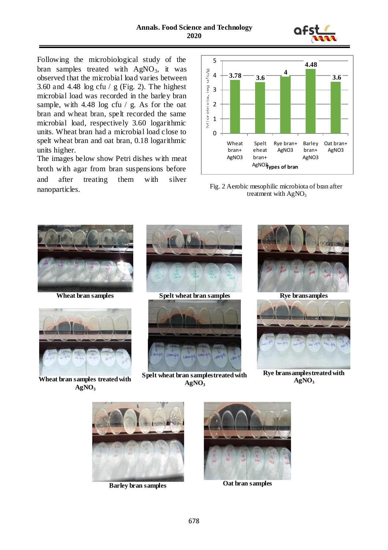

Following the microbiological study of the bran samples treated with  $AgNO_3$ , it was observed that the microbial load varies between 3.60 and 4.48 log cfu  $/$  g (Fig. 2). The highest microbial load was recorded in the barley bran sample, with 4.48 log cfu / g. As for the oat bran and wheat bran, spelt recorded the same microbial load, respectively 3.60 logarithmic units. Wheat bran had a microbial load close to spelt wheat bran and oat bran, 0.18 logarithmic units higher.

The images below show Petri dishes with meat broth with agar from bran suspensions before and after treating them with silver nanoparticles. Fig. 2 Aerobic mesophilic microbiota of bran after









**Wheat bran samples treated with**   $AgNO<sub>3</sub>$ 



**Spelt wheat bran samplestreated with**   $AgNO<sub>3</sub>$ 



**Rye bransamplestreated with**   $AgNO<sub>3</sub>$ 





**Barley bran samples Oat bran samples**